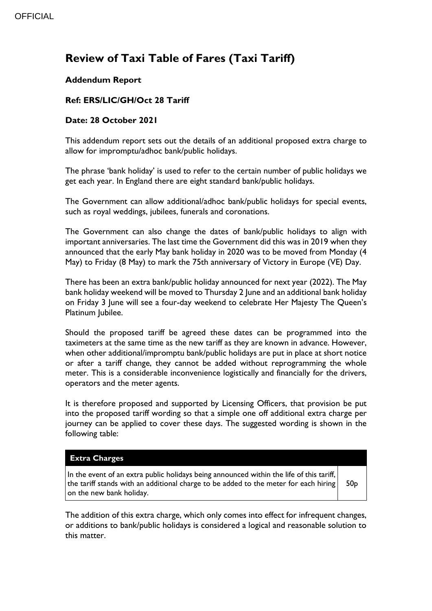# **Review of Taxi Table of Fares (Taxi Tariff)**

## **Addendum Report**

### **Ref: ERS/LIC/GH/Oct 28 Tariff**

#### **Date: 28 October 2021**

This addendum report sets out the details of an additional proposed extra charge to allow for impromptu/adhoc bank/public holidays.

The phrase 'bank holiday' is used to refer to the certain number of public holidays we get each year. In England there are eight standard bank/public holidays.

The Government can allow additional/adhoc bank/public holidays for special events, such as royal weddings, jubilees, funerals and coronations.

The Government can also change the dates of bank/public holidays to align with important anniversaries. The last time the Government did this was in 2019 when they announced that the early May bank holiday in 2020 was to be moved from Monday (4 May) to Friday (8 May) to mark the 75th anniversary of Victory in Europe (VE) Day.

There has been an extra bank/public holiday announced for next year (2022). The May bank holiday weekend will be moved to Thursday 2 June and an additional bank holiday on Friday 3 June will see a four-day weekend to celebrate Her Majesty The Queen's Platinum Jubilee.

Should the proposed tariff be agreed these dates can be programmed into the taximeters at the same time as the new tariff as they are known in advance. However, when other additional/impromptu bank/public holidays are put in place at short notice or after a tariff change, they cannot be added without reprogramming the whole meter. This is a considerable inconvenience logistically and financially for the drivers, operators and the meter agents.

It is therefore proposed and supported by Licensing Officers, that provision be put into the proposed tariff wording so that a simple one off additional extra charge per journey can be applied to cover these days. The suggested wording is shown in the following table:

#### **Extra Charges**

In the event of an extra public holidays being announced within the life of this tariff, the tariff stands with an additional charge to be added to the meter for each hiring on the new bank holiday. 50p

The addition of this extra charge, which only comes into effect for infrequent changes, or additions to bank/public holidays is considered a logical and reasonable solution to this matter.